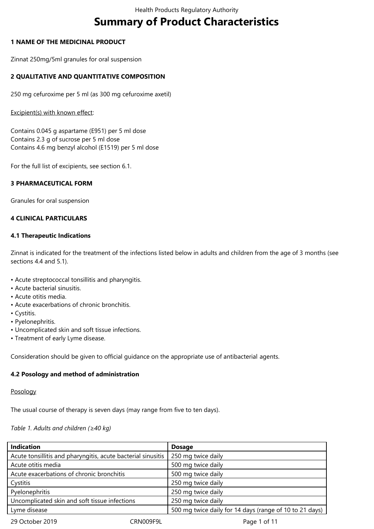# **Summary of Product Characteristics**

# **1 NAME OF THE MEDICINAL PRODUCT**

Zinnat 250mg/5ml granules for oral suspension

# **2 QUALITATIVE AND QUANTITATIVE COMPOSITION**

250 mg cefuroxime per 5 ml (as 300 mg cefuroxime axetil)

#### Excipient(s) with known effect:

Contains 0.045 g aspartame (E951) per 5 ml dose Contains 2.3 g of sucrose per 5 ml dose Contains 4.6 mg benzyl alcohol (E1519) per 5 ml dose

For the full list of excipients, see section 6.1.

# **3 PHARMACEUTICAL FORM**

Granules for oral suspension

# **4 CLINICAL PARTICULARS**

# **4.1 Therapeutic Indications**

Zinnat is indicated for the treatment of the infections listed below in adults and children from the age of 3 months (see sections 4.4 and 5.1).

- Acute streptococcal tonsillitis and pharyngitis.
- Acute bacterial sinusitis.
- Acute otitis media.
- Acute exacerbations of chronic bronchitis.
- Cystitis.
- Pyelonephritis.
- Uncomplicated skin and soft tissue infections.
- Treatment of early Lyme disease.

Consideration should be given to official guidance on the appropriate use of antibacterial agents.

# **4.2 Posology and method of administration**

# Posology

The usual course of therapy is seven days (may range from five to ten days).

# *Table 1. Adults and children (≥40 kg)*

| <b>Indication</b>                                            | <b>Dosage</b>                                           |
|--------------------------------------------------------------|---------------------------------------------------------|
| Acute tonsillitis and pharyngitis, acute bacterial sinusitis | 250 mg twice daily                                      |
| Acute otitis media                                           | 500 mg twice daily                                      |
| Acute exacerbations of chronic bronchitis                    | 500 mg twice daily                                      |
| Cystitis                                                     | 250 mg twice daily                                      |
| Pyelonephritis                                               | 250 mg twice daily                                      |
| Uncomplicated skin and soft tissue infections                | 250 mg twice daily                                      |
| Lyme disease                                                 | 500 mg twice daily for 14 days (range of 10 to 21 days) |
| 29 October 2019                                              | CRN009F9L<br>Page 1 of 11                               |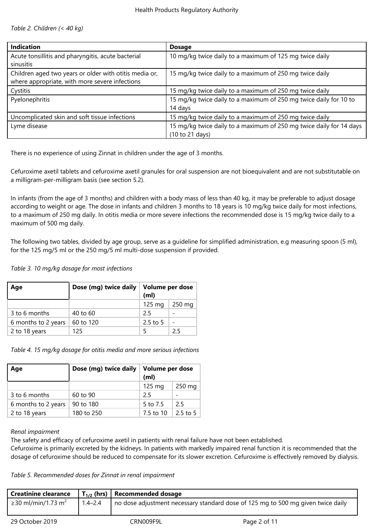*Table 2. Children (< 40 kg)*

| <b>Indication</b>                                      | <b>Dosage</b>                                                       |
|--------------------------------------------------------|---------------------------------------------------------------------|
| Acute tonsillitis and pharyngitis, acute bacterial     | 10 mg/kg twice daily to a maximum of 125 mg twice daily             |
| sinusitis                                              |                                                                     |
| Children aged two years or older with otitis media or, | 15 mg/kg twice daily to a maximum of 250 mg twice daily             |
| where appropriate, with more severe infections         |                                                                     |
| Cystitis                                               | 15 mg/kg twice daily to a maximum of 250 mg twice daily             |
| Pyelonephritis                                         | 15 mg/kg twice daily to a maximum of 250 mg twice daily for 10 to   |
|                                                        | 14 days                                                             |
| Uncomplicated skin and soft tissue infections          | 15 mg/kg twice daily to a maximum of 250 mg twice daily             |
| Lyme disease                                           | 15 mg/kg twice daily to a maximum of 250 mg twice daily for 14 days |
|                                                        | (10 to 21 days)                                                     |

There is no experience of using Zinnat in children under the age of 3 months.

Cefuroxime axetil tablets and cefuroxime axetil granules for oral suspension are not bioequivalent and are not substitutable on a milligram-per-milligram basis (see section 5.2).

In infants (from the age of 3 months) and children with a body mass of less than 40 kg, it may be preferable to adjust dosage according to weight or age. The dose in infants and children 3 months to 18 years is 10 mg/kg twice daily for most infections, to a maximum of 250 mg daily. In otitis media or more severe infections the recommended dose is 15 mg/kg twice daily to a maximum of 500 mg daily.

The following two tables, divided by age group, serve as a guideline for simplified administration, e.g measuring spoon (5 ml), for the 125 mg/5 ml or the 250 mg/5 ml multi-dose suspension if provided.

*Table 3. 10 mg/kg dosage for most infections*

| Age                 | Dose (mg) twice daily | Volume per dose<br>(m <sub>l</sub> ) |                  |
|---------------------|-----------------------|--------------------------------------|------------------|
|                     |                       | $125 \text{ mg}$                     | $250 \text{ mg}$ |
| 3 to 6 months       | $40$ to 60            | 25                                   |                  |
| 6 months to 2 years | 60 to 120             | $2.5$ to 5                           |                  |
| 2 to 18 years       | 125                   | 5                                    | 25               |

*Table 4. 15 mg/kg dosage for otitis media and more serious infections*

| Age                 | Dose (mg) twice daily | Volume per dose<br>(m <sub>l</sub> ) |            |
|---------------------|-----------------------|--------------------------------------|------------|
|                     |                       | $125 \text{ mg}$                     | 250 mg     |
| 3 to 6 months       | 60 to 90              | 25                                   |            |
| 6 months to 2 years | 90 to 180             | 5 to 7.5                             | 25         |
| 2 to 18 years       | 180 to 250            | 7.5 to 10                            | $2.5$ to 5 |

# *Renal impairment*

The safety and efficacy of cefuroxime axetil in patients with renal failure have not been established.

Cefuroxime is primarily excreted by the kidneys. In patients with markedly impaired renal function it is recommended that the dosage of cefuroxime should be reduced to compensate for its slower excretion. Cefuroxime is effectively removed by dialysis.

*Table 5. Recommended doses for Zinnat in renal impairment*

| <b>Creatinine clearance</b>    |             | $\mid$ T <sub>1/2</sub> (hrs)   Recommended dosage                               |              |
|--------------------------------|-------------|----------------------------------------------------------------------------------|--------------|
| ≥30 ml/min/1.73 m <sup>2</sup> | $1.4 - 2.4$ | no dose adjustment necessary standard dose of 125 mg to 500 mg given twice daily |              |
| 29 October 2019                |             | CRN009F9L                                                                        | Page 2 of 11 |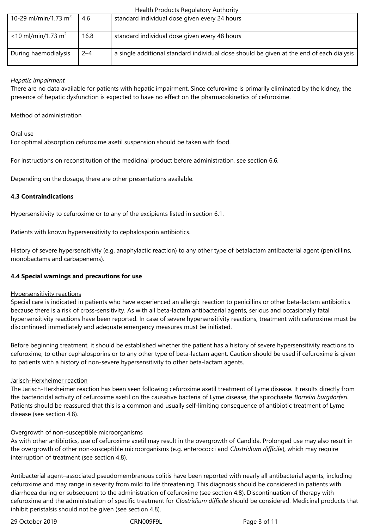|                                   |         | Health Products Regulatory Authority                                                     |
|-----------------------------------|---------|------------------------------------------------------------------------------------------|
| 10-29 ml/min/1.73 m <sup>2</sup>  | 4.6     | standard individual dose given every 24 hours                                            |
|                                   |         |                                                                                          |
| $<$ 10 ml/min/1.73 m <sup>2</sup> | 16.8    | standard individual dose given every 48 hours                                            |
| During haemodialysis              | $2 - 4$ | a single additional standard individual dose should be given at the end of each dialysis |

# *Hepatic impairment*

There are no data available for patients with hepatic impairment. Since cefuroxime is primarily eliminated by the kidney, the presence of hepatic dysfunction is expected to have no effect on the pharmacokinetics of cefuroxime.

# Method of administration

Oral use

For optimal absorption cefuroxime axetil suspension should be taken with food.

For instructions on reconstitution of the medicinal product before administration, see section 6.6.

Depending on the dosage, there are other presentations available.

# **4.3 Contraindications**

Hypersensitivity to cefuroxime or to any of the excipients listed in section 6.1.

Patients with known hypersensitivity to cephalosporin antibiotics.

History of severe hypersensitivity (e.g. anaphylactic reaction) to any other type of betalactam antibacterial agent (penicillins, monobactams and carbapenems).

# **4.4 Special warnings and precautions for use**

# Hypersensitivity reactions

Special care is indicated in patients who have experienced an allergic reaction to penicillins or other beta-lactam antibiotics because there is a risk of cross-sensitivity. As with all beta-lactam antibacterial agents, serious and occasionally fatal hypersensitivity reactions have been reported. In case of severe hypersensitivity reactions, treatment with cefuroxime must be discontinued immediately and adequate emergency measures must be initiated.

Before beginning treatment, it should be established whether the patient has a history of severe hypersensitivity reactions to cefuroxime, to other cephalosporins or to any other type of beta-lactam agent. Caution should be used if cefuroxime is given to patients with a history of non-severe hypersensitivity to other beta-lactam agents.

# Jarisch-Herxheimer reaction

The Jarisch-Herxheimer reaction has been seen following cefuroxime axetil treatment of Lyme disease. It results directly from the bactericidal activity of cefuroxime axetil on the causative bacteria of Lyme disease, the spirochaete *Borrelia burgdorferi.*  Patients should be reassured that this is a common and usually self-limiting consequence of antibiotic treatment of Lyme disease (see section 4.8).

# Overgrowth of non-susceptible microorganisms

As with other antibiotics, use of cefuroxime axetil may result in the overgrowth of Candida. Prolonged use may also result in the overgrowth of other non-susceptible microorganisms (e.g. enterococci and *Clostridium difficile*), which may require interruption of treatment (see section 4.8).

Antibacterial agent–associated pseudomembranous colitis have been reported with nearly all antibacterial agents, including cefuroxime and may range in severity from mild to life threatening. This diagnosis should be considered in patients with diarrhoea during or subsequent to the administration of cefuroxime (see section 4.8). Discontinuation of therapy with cefuroxime and the administration of specific treatment for *Clostridium difficile* should be considered. Medicinal products that inhibit peristalsis should not be given (see section 4.8).

29 October 2019 CRN009F9L Page 3 of 11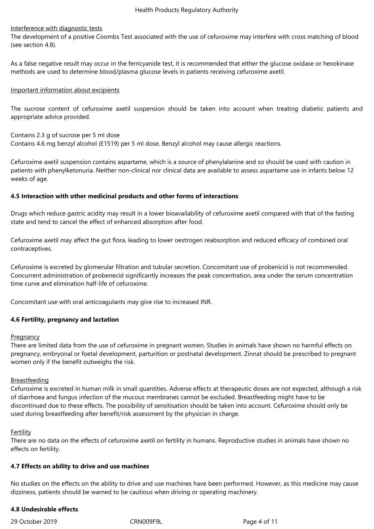# Interference with diagnostic tests

The development of a positive Coombs Test associated with the use of cefuroxime may interfere with cross matching of blood (see section 4.8).

As a false negative result may occur in the ferricyanide test, it is recommended that either the glucose oxidase or hexokinase methods are used to determine blood/plasma glucose levels in patients receiving cefuroxime axetil.

# Important information about excipients

The sucrose content of cefuroxime axetil suspension should be taken into account when treating diabetic patients and appropriate advice provided.

Contains 2.3 g of sucrose per 5 ml dose

Contains 4.6 mg benzyl alcohol (E1519) per 5 ml dose. Benzyl alcohol may cause allergic reactions.

Cefuroxime axetil suspension contains aspartame, which is a source of phenylalanine and so should be used with caution in patients with phenylketonuria. Neither non-clinical nor clinical data are available to assess aspartame use in infants below 12 weeks of age.

# **4.5 Interaction with other medicinal products and other forms of interactions**

Drugs which reduce gastric acidity may result in a lower bioavailability of cefuroxime axetil compared with that of the fasting state and tend to cancel the effect of enhanced absorption after food.

Cefuroxime axetil may affect the gut flora, leading to lower oestrogen reabsorption and reduced efficacy of combined oral contraceptives.

Cefuroxime is excreted by glomerular filtration and tubular secretion. Concomitant use of probenicid is not recommended. Concurrent administration of probenecid significantly increases the peak concentration, area under the serum concentration time curve and elimination half-life of cefuroxime.

Concomitant use with oral anticoagulants may give rise to increased INR.

# **4.6 Fertility, pregnancy and lactation**

# **Pregnancy**

There are limited data from the use of cefuroxime in pregnant women. Studies in animals have shown no harmful effects on pregnancy, embryonal or foetal development, parturition or postnatal development. Zinnat should be prescribed to pregnant women only if the benefit outweighs the risk.

# **Breastfeeding**

Cefuroxime is excreted in human milk in small quantities. Adverse effects at therapeutic doses are not expected, although a risk of diarrhoea and fungus infection of the mucous membranes cannot be excluded. Breastfeeding might have to be discontinued due to these effects. The possibility of sensitisation should be taken into account. Cefuroxime should only be used during breastfeeding after benefit/risk assessment by the physician in charge.

# Fertility

There are no data on the effects of cefuroxime axetil on fertility in humans. Reproductive studies in animals have shown no effects on fertility.

# **4.7 Effects on ability to drive and use machines**

No studies on the effects on the ability to drive and use machines have been performed. However, as this medicine may cause dizziness, patients should be warned to be cautious when driving or operating machinery.

# **4.8 Undesirable effects**

29 October 2019 CRN009F9L Page 4 of 11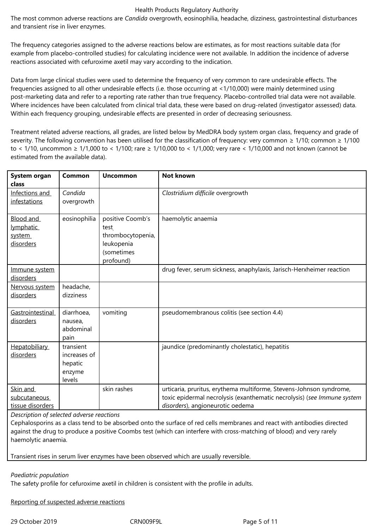#### Health Products Regulatory Authority

The most common adverse reactions are *Candida* overgrowth, eosinophilia, headache, dizziness, gastrointestinal disturbances and transient rise in liver enzymes.

The frequency categories assigned to the adverse reactions below are estimates, as for most reactions suitable data (for example from placebo-controlled studies) for calculating incidence were not available. In addition the incidence of adverse reactions associated with cefuroxime axetil may vary according to the indication.

Data from large clinical studies were used to determine the frequency of very common to rare undesirable effects. The frequencies assigned to all other undesirable effects (i.e. those occurring at <1/10,000) were mainly determined using post-marketing data and refer to a reporting rate rather than true frequency. Placebo-controlled trial data were not available. Where incidences have been calculated from clinical trial data, these were based on drug-related (investigator assessed) data. Within each frequency grouping, undesirable effects are presented in order of decreasing seriousness.

Treatment related adverse reactions, all grades, are listed below by MedDRA body system organ class, frequency and grade of severity. The following convention has been utilised for the classification of frequency: very common ≥ 1/10; common ≥ 1/100 to < 1/10, uncommon ≥ 1/1,000 to < 1/100; rare ≥ 1/10,000 to < 1/1,000; very rare < 1/10,000 and not known (cannot be estimated from the available data).

| System organ<br>class                         | Common                                                   | <b>Uncommon</b>                                                                        | <b>Not known</b>                                                                                                                                                                   |
|-----------------------------------------------|----------------------------------------------------------|----------------------------------------------------------------------------------------|------------------------------------------------------------------------------------------------------------------------------------------------------------------------------------|
| Infections and<br>infestations                | Candida<br>overgrowth                                    |                                                                                        | Clostridium difficile overgrowth                                                                                                                                                   |
| Blood and<br>lymphatic<br>system<br>disorders | eosinophilia                                             | positive Coomb's<br>test<br>thrombocytopenia,<br>leukopenia<br>(sometimes<br>profound) | haemolytic anaemia                                                                                                                                                                 |
| Immune system<br>disorders                    |                                                          |                                                                                        | drug fever, serum sickness, anaphylaxis, Jarisch-Herxheimer reaction                                                                                                               |
| Nervous system<br>disorders                   | headache,<br>dizziness                                   |                                                                                        |                                                                                                                                                                                    |
| Gastrointestinal<br>disorders                 | diarrhoea,<br>nausea,<br>abdominal<br>pain               | vomiting                                                                               | pseudomembranous colitis (see section 4.4)                                                                                                                                         |
| Hepatobiliary<br>disorders                    | transient<br>increases of<br>hepatic<br>enzyme<br>levels |                                                                                        | jaundice (predominantly cholestatic), hepatitis                                                                                                                                    |
| Skin and<br>subcutaneous<br>tissue disorders  |                                                          | skin rashes                                                                            | urticaria, pruritus, erythema multiforme, Stevens-Johnson syndrome,<br>toxic epidermal necrolysis (exanthematic necrolysis) (see Immune system<br>disorders), angioneurotic oedema |

*Description of selected adverse reactions*

Cephalosporins as a class tend to be absorbed onto the surface of red cells membranes and react with antibodies directed against the drug to produce a positive Coombs test (which can interfere with cross-matching of blood) and very rarely haemolytic anaemia.

Transient rises in serum liver enzymes have been observed which are usually reversible.

# *Paediatric population*

The safety profile for cefuroxime axetil in children is consistent with the profile in adults.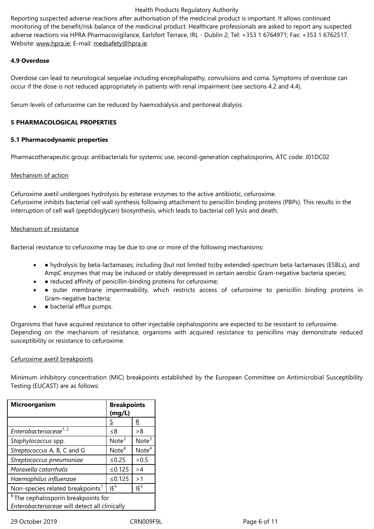adverse reactions via HPRA Pharmacovigilance, Earlsfort Terrace, IRL - Dublin 2; Tel: +353 1 6764971; Fax: +353 1 6762517. Website: www.hpra.ie; E-mail: medsafety@hpra.ie.

# **4.9 Overdose**

Overdos[e can lead to](http://www.hpra.ie/) neurolo[gical sequelae includ](mailto:medsafety@hpra.ie)ing encephalopathy, convulsions and coma. Symptoms of overdose can occur if the dose is not reduced appropriately in patients with renal impairment (see sections 4.2 and 4.4).

Serum levels of cefuroxime can be reduced by haemodialysis and peritoneal dialysis.

# **5 PHARMACOLOGICAL PROPERTIES**

# **5.1 Pharmacodynamic properties**

Pharmacotherapeutic group: antibacterials for systemic use, second-generation cephalosporins, ATC code: J01DC02

# Mechanism of action

Cefuroxime axetil undergoes hydrolysis by esterase enzymes to the active antibiotic, cefuroxime. Cefuroxime inhibits bacterial cell wall synthesis following attachment to penicillin binding proteins (PBPs). This results in the interruption of cell wall (peptidoglycan) biosynthesis, which leads to bacterial cell lysis and death.

# Mechanism of resistance

Bacterial resistance to cefuroxime may be due to one or more of the following mechanisms:

- hydrolysis by beta-lactamases; including (but not limited to)by extended-spectrum beta-lactamases (ESBLs), and AmpC enzymes that may be induced or stably derepressed in certain aerobic Gram-negative bacteria species;
- • reduced affinity of penicillin-binding proteins for cefuroxime;
- outer membrane impermeability, which restricts access of cefuroxime to penicillin binding proteins in Gram-negative bacteria;
- • bacterial efflux pumps.

Organisms that have acquired resistance to other injectable cephalosporins are expected to be resistant to cefuroxime. Depending on the mechanism of resistance, organisms with acquired resistance to penicillins may demonstrate reduced susceptibility or resistance to cefuroxime.

# Cefuroxime axetil breakpoints

Minimum inhibitory concentration (MIC) breakpoints established by the European Committee on Antimicrobial Susceptibility Testing (EUCAST) are as follows:

| Microorganism                                  | <b>Breakpoints</b><br>(mg/L) |                   |  |
|------------------------------------------------|------------------------------|-------------------|--|
|                                                | S                            | R                 |  |
| Enterobacteriaceae <sup>1, 2</sup>             | ≤8                           | >8                |  |
| Staphylococcus spp.                            | Note <sup>3</sup>            | Note <sup>3</sup> |  |
| Streptococcus A, B, C and G                    | Note <sup>4</sup>            | Note <sup>4</sup> |  |
| Streptococcus pneumoniae                       | $≤0.25$                      | >0.5              |  |
| Moraxella catarrhalis                          | ≤0.125                       | >4                |  |
| Haemophilus influenzae                         | ≤0.125                       | >1                |  |
| Non-species related breakpoints <sup>1</sup>   | IF <sup>5</sup>              | $IE^5$            |  |
| <sup>1</sup> The cephalosporin breakpoints for |                              |                   |  |
| Enterobacteriaceae will detect all clinically  |                              |                   |  |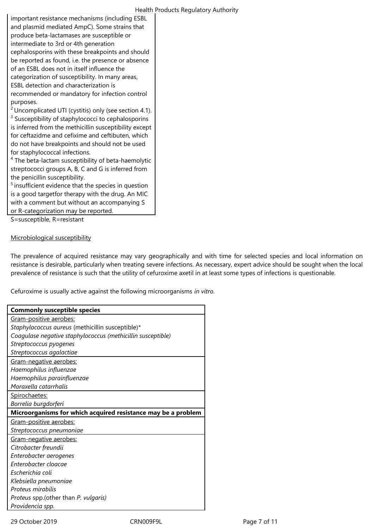| important resistance mechanisms (including ESBL                   |
|-------------------------------------------------------------------|
| and plasmid mediated AmpC). Some strains that                     |
| produce beta-lactamases are susceptible or                        |
| intermediate to 3rd or 4th generation                             |
| cephalosporins with these breakpoints and should                  |
| be reported as found, i.e. the presence or absence                |
| of an ESBL does not in itself influence the                       |
| categorization of susceptibility. In many areas,                  |
| ESBL detection and characterization is                            |
| recommended or mandatory for infection control                    |
| purposes.                                                         |
| <sup>2</sup> Uncomplicated UTI (cystitis) only (see section 4.1). |

<sup>3</sup> Susceptibility of staphylococci to cephalosporins is inferred from the methicillin susceptibility except for ceftazidme and cefixime and ceftibuten, which do not have breakpoints and should not be used for staphylococcal infections.

<sup>4</sup> The beta-lactam susceptibility of beta-haemolytic streptococci groups A, B, C and G is inferred from the penicillin susceptibility.

 $<sup>5</sup>$  insufficient evidence that the species in question</sup> is a good targetfor therapy with the drug. An MIC with a comment but without an accompanying S or R-categorization may be reported.

S=susceptible, R=resistant

# Microbiological susceptibility

The prevalence of acquired resistance may vary geographically and with time for selected species and local information on resistance is desirable, particularly when treating severe infections. As necessary, expert advice should be sought when the local prevalence of resistance is such that the utility of cefuroxime axetil in at least some types of infections is questionable.

Cefuroxime is usually active against the following microorganisms *in vitro*.

| <b>Commonly susceptible species</b>                           |  |  |
|---------------------------------------------------------------|--|--|
| Gram-positive aerobes:                                        |  |  |
| Staphylococcus aureus (methicillin susceptible)*              |  |  |
| Coagulase negative staphylococcus (methicillin susceptible)   |  |  |
| Streptococcus pyogenes                                        |  |  |
| Streptococcus agalactiae                                      |  |  |
| Gram-negative aerobes:                                        |  |  |
| Haemophilus influenzae                                        |  |  |
| Haemophilus parainfluenzae                                    |  |  |
| Moraxella catarrhalis                                         |  |  |
| Spirochaetes:                                                 |  |  |
| Borrelia burgdorferi                                          |  |  |
| Microorganisms for which acquired resistance may be a problem |  |  |
| Gram-positive aerobes:                                        |  |  |
| Streptococcus pneumoniae                                      |  |  |
| Gram-negative aerobes:                                        |  |  |
| Citrobacter freundii                                          |  |  |
| Enterobacter aerogenes                                        |  |  |
| Enterobacter cloacae                                          |  |  |
| Escherichia coli                                              |  |  |
| Klebsiella pneumoniae                                         |  |  |
| Proteus mirabilis                                             |  |  |
| Proteus spp.(other than P. vulgaris)                          |  |  |
| Providencia spp.                                              |  |  |

29 October 2019 CRN009F9L Page 7 of 11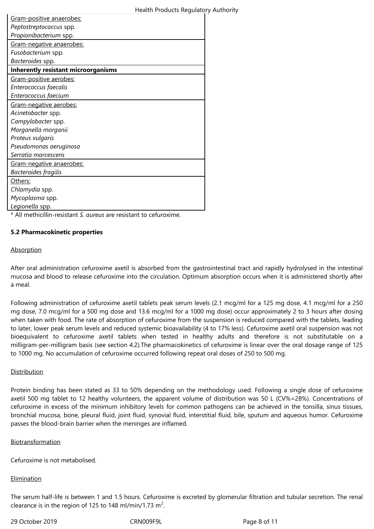| Gram-positive anaerobes:                   |
|--------------------------------------------|
| Peptostreptococcus spp.                    |
| Propionibacterium spp.                     |
| Gram-negative anaerobes:                   |
| Fusobacterium spp.                         |
| Bacteroides spp.                           |
| <b>Inherently resistant microorganisms</b> |
| Gram-positive aerobes:                     |
| Enterococcus faecalis                      |
| Enterococcus faecium                       |
| Gram-negative aerobes:                     |
| Acinetobacter spp.                         |
| Campylobacter spp.                         |
| Morganella morganii                        |
| Proteus vulgaris                           |
| Pseudomonas aeruginosa                     |
| Serratia marcescens                        |
| Gram-negative anaerobes:                   |
| <b>Bacteroides fragilis</b>                |
| Others:                                    |
| Chlamydia spp.                             |
| Mycoplasma spp.                            |
| Legionella spp.                            |

\* All methicillin-resistant *S. aureus* are resistant to cefuroxime.

# **5.2 Pharmacokinetic properties**

#### **Absorption**

After oral administration cefuroxime axetil is absorbed from the gastrointestinal tract and rapidly hydrolysed in the intestinal mucosa and blood to release cefuroxime into the circulation. Optimum absorption occurs when it is administered shortly after a meal.

Following administration of cefuroxime axetil tablets peak serum levels (2.1 mcg/ml for a 125 mg dose, 4.1 mcg/ml for a 250 mg dose, 7.0 mcg/ml for a 500 mg dose and 13.6 mcg/ml for a 1000 mg dose) occur approximately 2 to 3 hours after dosing when taken with food. The rate of absorption of cefuroxime from the suspension is reduced compared with the tablets, leading to later, lower peak serum levels and reduced systemic bioavailability (4 to 17% less). Cefuroxime axetil oral suspension was not bioequivalent to cefuroxime axetil tablets when tested in healthy adults and therefore is not substitutable on a milligram-per-milligram basis (see section 4.2).The pharmacokinetics of cefuroxime is linear over the oral dosage range of 125 to 1000 mg. No accumulation of cefuroxime occurred following repeat oral doses of 250 to 500 mg.

#### **Distribution**

Protein binding has been stated as 33 to 50% depending on the methodology used. Following a single dose of cefuroxime axetil 500 mg tablet to 12 healthy volunteers, the apparent volume of distribution was 50 L (CV%=28%). Concentrations of cefuroxime in excess of the minimum inhibitory levels for common pathogens can be achieved in the tonsilla, sinus tissues, bronchial mucosa, bone, pleural fluid, joint fluid, synovial fluid, interstitial fluid, bile, sputum and aqueous humor. Cefuroxime passes the blood-brain barrier when the meninges are inflamed.

#### Biotransformation

Cefuroxime is not metabolised.

# **Elimination**

The serum half-life is between 1 and 1.5 hours. Cefuroxime is excreted by glomerular filtration and tubular secretion. The renal clearance is in the region of 125 to 148 ml/min/1.73 m<sup>2</sup>.

29 October 2019 CRN009F9L Page 8 of 11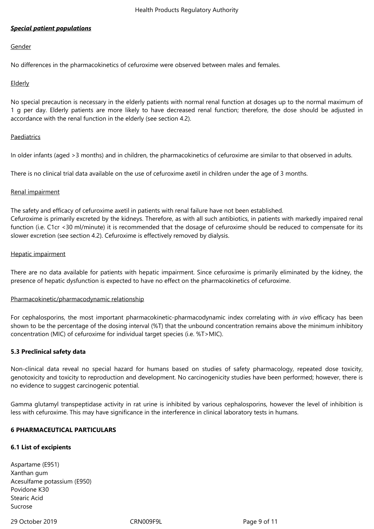# *Special patient populations*

#### Gender

No differences in the pharmacokinetics of cefuroxime were observed between males and females.

# Elderly

No special precaution is necessary in the elderly patients with normal renal function at dosages up to the normal maximum of 1 g per day. Elderly patients are more likely to have decreased renal function; therefore, the dose should be adjusted in accordance with the renal function in the elderly (see section 4.2).

# Paediatrics

In older infants (aged >3 months) and in children, the pharmacokinetics of cefuroxime are similar to that observed in adults.

There is no clinical trial data available on the use of cefuroxime axetil in children under the age of 3 months.

# Renal impairment

The safety and efficacy of cefuroxime axetil in patients with renal failure have not been established. Cefuroxime is primarily excreted by the kidneys. Therefore, as with all such antibiotics, in patients with markedly impaired renal function (i.e. C1cr <30 ml/minute) it is recommended that the dosage of cefuroxime should be reduced to compensate for its slower excretion (see section 4.2). Cefuroxime is effectively removed by dialysis.

# Hepatic impairment

There are no data available for patients with hepatic impairment. Since cefuroxime is primarily eliminated by the kidney, the presence of hepatic dysfunction is expected to have no effect on the pharmacokinetics of cefuroxime.

# Pharmacokinetic/pharmacodynamic relationship

For cephalosporins, the most important pharmacokinetic-pharmacodynamic index correlating with *in vivo* efficacy has been shown to be the percentage of the dosing interval (%T) that the unbound concentration remains above the minimum inhibitory concentration (MIC) of cefuroxime for individual target species (i.e. %T>MIC).

# **5.3 Preclinical safety data**

Non-clinical data reveal no special hazard for humans based on studies of safety pharmacology, repeated dose toxicity, genotoxicity and toxicity to reproduction and development. No carcinogenicity studies have been performed; however, there is no evidence to suggest carcinogenic potential.

Gamma glutamyl transpeptidase activity in rat urine is inhibited by various cephalosporins, however the level of inhibition is less with cefuroxime. This may have significance in the interference in clinical laboratory tests in humans.

# **6 PHARMACEUTICAL PARTICULARS**

# **6.1 List of excipients**

Aspartame (E951) Xanthan gum Acesulfame potassium (E950) Povidone K30 Stearic Acid Sucrose

# 29 October 2019 CRN009F9L Page 9 of 11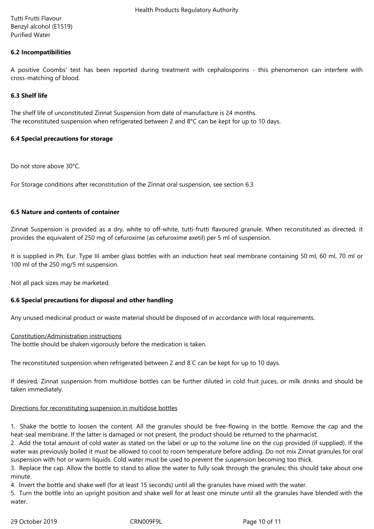Tutti Frutti Flavour Benzyl alcohol (E1519) Purified Water

# **6.2 Incompatibilities**

A positive Coombs' test has been reported during treatment with cephalosporins - this phenomenon can interfere with cross-matching of blood.

# **6.3 Shelf life**

The shelf life of unconstituted Zinnat Suspension from date of manufacture is 24 months. The reconstituted suspension when refrigerated between 2 and 8°C can be kept for up to 10 days.

# **6.4 Special precautions for storage**

Do not store above 30°C.

For Storage conditions after reconstitution of the Zinnat oral suspension, see section 6.3

# **6.5 Nature and contents of container**

Zinnat Suspension is provided as a dry, white to off-white, tutti-frutti flavoured granule. When reconstituted as directed, it provides the equivalent of 250 mg of cefuroxime (as cefuroxime axetil) per 5 ml of suspension.

It is supplied in Ph. Eur. Type III amber glass bottles with an induction heat seal membrane containing 50 ml, 60 ml, 70 ml or 100 ml of the 250 mg/5 ml suspension.

Not all pack sizes may be marketed.

# **6.6 Special precautions for disposal and other handling**

Any unused medicinal product or waste material should be disposed of in accordance with local requirements.

# Constitution/Administration instructions

The bottle should be shaken vigorously before the medication is taken.

The reconstituted suspension when refrigerated between 2 and 8◦C can be kept for up to 10 days.

If desired, Zinnat suspension from multidose bottles can be further diluted in cold fruit juices, or milk drinks and should be taken immediately.

# Directions for reconstituting suspension in multidose bottles

1. Shake the bottle to loosen the content. All the granules should be free-flowing in the bottle. Remove the cap and the heat-seal membrane. If the latter is damaged or not present, the product should be returned to the pharmacist.

2. Add the total amount of cold water as stated on the label or up to the volume line on the cup provided (if supplied). If the water was previously boiled it must be allowed to cool to room temperature before adding. Do not mix Zinnat granules for oral suspension with hot or warm liquids. Cold water must be used to prevent the suspension becoming too thick.

3. Replace the cap. Allow the bottle to stand to allow the water to fully soak through the granules; this should take about one minute.

4. Invert the bottle and shake well (for at least 15 seconds) until all the granules have mixed with the water.

5. Turn the bottle into an upright position and shake well for at least one minute until all the granules have blended with the water